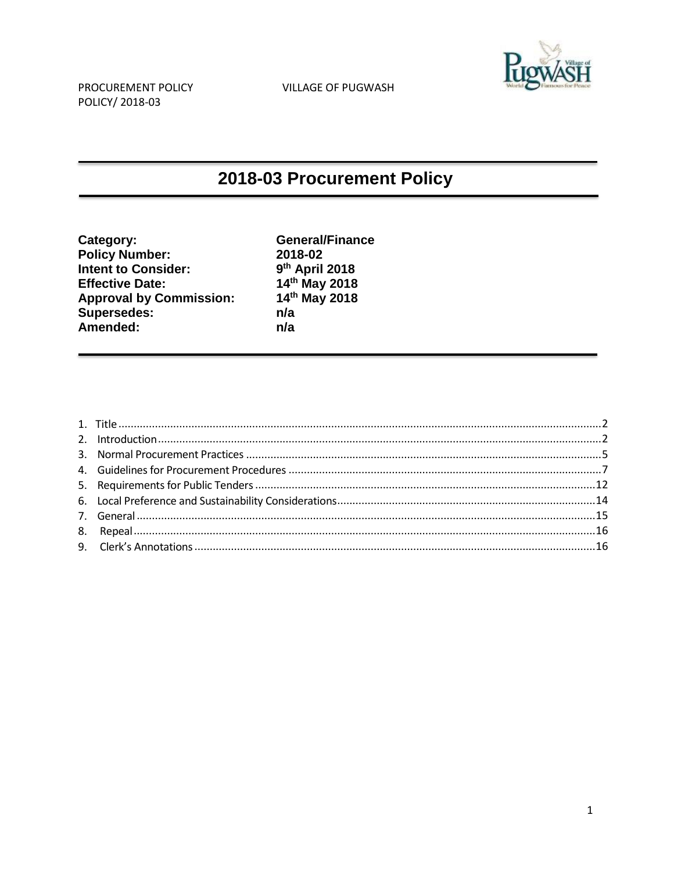

# 2018-03 Procurement Policy

| Category:                      | <b>General/Finance</b> |
|--------------------------------|------------------------|
| <b>Policy Number:</b>          | 2018-02                |
| <b>Intent to Consider:</b>     | 9th April 2018         |
| <b>Effective Date:</b>         | 14th May 2018          |
| <b>Approval by Commission:</b> | 14th May 2018          |
| <b>Supersedes:</b>             | n/a                    |
| Amended:                       | n/a                    |
|                                |                        |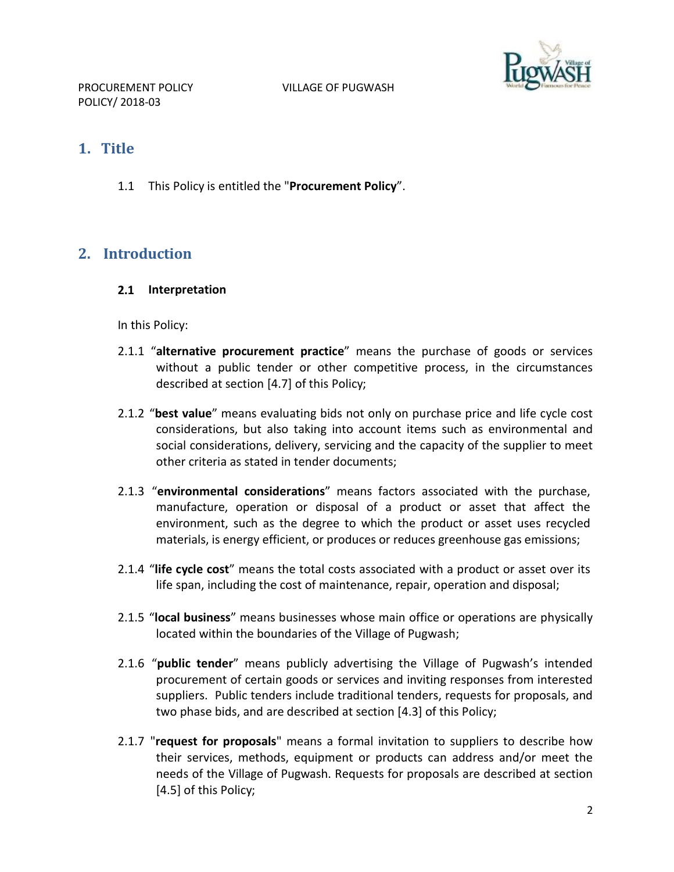

## <span id="page-1-0"></span>**1. Title**

1.1 This Policy is entitled the "**Procurement Policy**".

# <span id="page-1-1"></span>**2. Introduction**

**2.1 Interpretation**

In this Policy:

- 2.1.1 "**alternative procurement practice**" means the purchase of goods or services without a public tender or other competitive process, in the circumstances described at section [4.7] of this Policy;
- 2.1.2 "**best value**" means evaluating bids not only on purchase price and life cycle cost considerations, but also taking into account items such as environmental and social considerations, delivery, servicing and the capacity of the supplier to meet other criteria as stated in tender documents;
- 2.1.3 "**environmental considerations**" means factors associated with the purchase, manufacture, operation or disposal of a product or asset that affect the environment, such as the degree to which the product or asset uses recycled materials, is energy efficient, or produces or reduces greenhouse gas emissions;
- 2.1.4 "**life cycle cost**" means the total costs associated with a product or asset over its life span, including the cost of maintenance, repair, operation and disposal;
- 2.1.5 "**local business**" means businesses whose main office or operations are physically located within the boundaries of the Village of Pugwash;
- 2.1.6 "**public tender**" means publicly advertising the Village of Pugwash's intended procurement of certain goods or services and inviting responses from interested suppliers. Public tenders include traditional tenders, requests for proposals, and two phase bids, and are described at section [4.3] of this Policy;
- 2.1.7 "**request for proposals**" means a formal invitation to suppliers to describe how their services, methods, equipment or products can address and/or meet the needs of the Village of Pugwash. Requests for proposals are described at section [4.5] of this Policy;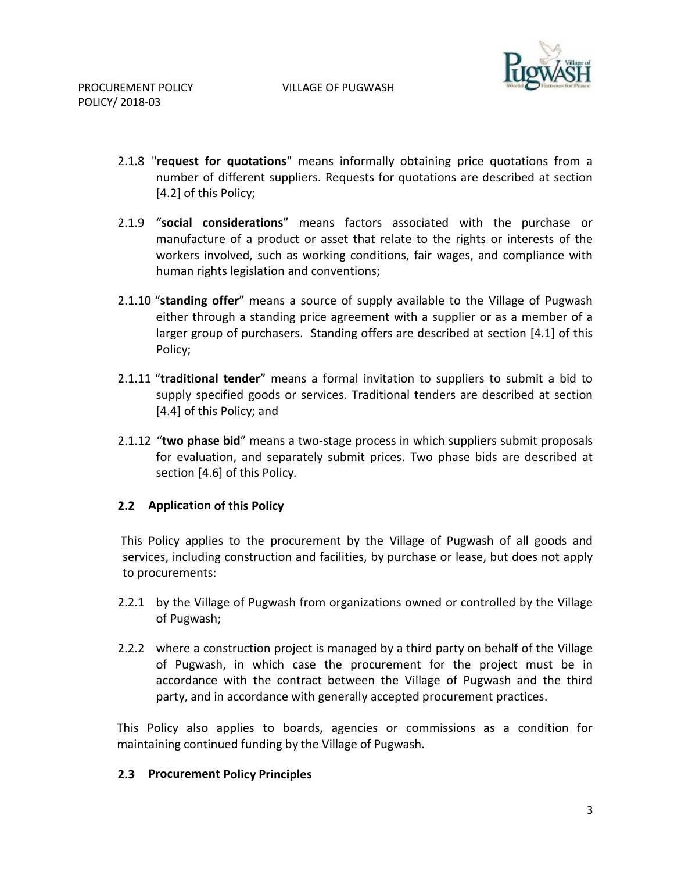

- 2.1.8 "**request for quotations**" means informally obtaining price quotations from a number of different suppliers. Requests for quotations are described at section [4.2] of this Policy;
- 2.1.9 "**social considerations**" means factors associated with the purchase or manufacture of a product or asset that relate to the rights or interests of the workers involved, such as working conditions, fair wages, and compliance with human rights legislation and conventions;
- 2.1.10 "**standing offer**" means a source of supply available to the Village of Pugwash either through a standing price agreement with a supplier or as a member of a larger group of purchasers. Standing offers are described at section [4.1] of this Policy;
- 2.1.11 "**traditional tender**" means a formal invitation to suppliers to submit a bid to supply specified goods or services. Traditional tenders are described at section [4.4] of this Policy; and
- 2.1.12 "**two phase bid**" means a two-stage process in which suppliers submit proposals for evaluation, and separately submit prices. Two phase bids are described at section [4.6] of this Policy.

#### **2.2 Application of this Policy**

This Policy applies to the procurement by the Village of Pugwash of all goods and services, including construction and facilities, by purchase or lease, but does not apply to procurements:

- 2.2.1 by the Village of Pugwash from organizations owned or controlled by the Village of Pugwash;
- 2.2.2 where a construction project is managed by a third party on behalf of the Village of Pugwash, in which case the procurement for the project must be in accordance with the contract between the Village of Pugwash and the third party, and in accordance with generally accepted procurement practices.

This Policy also applies to boards, agencies or commissions as a condition for maintaining continued funding by the Village of Pugwash.

#### **2.3 Procurement Policy Principles**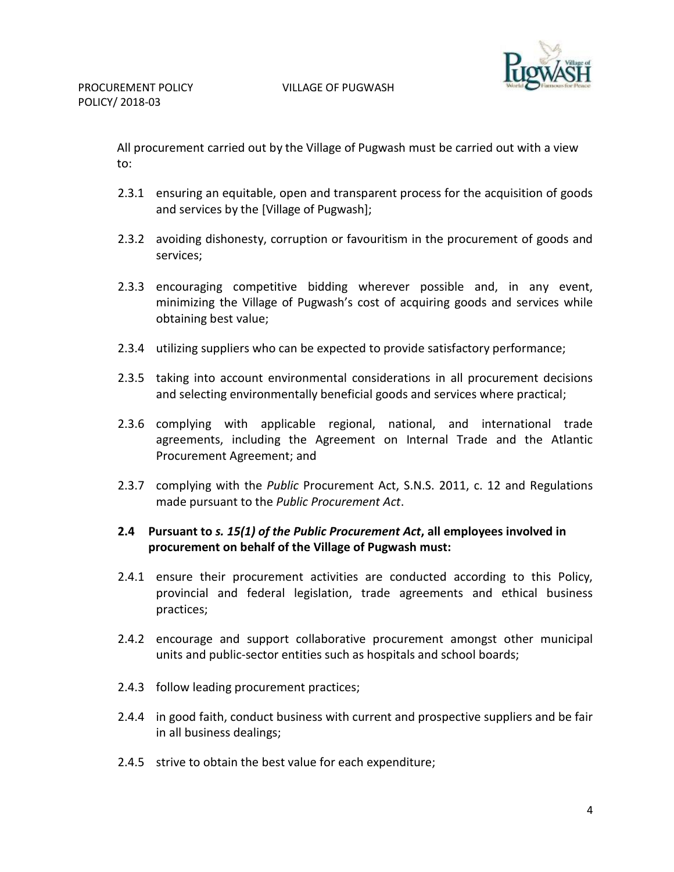

All procurement carried out by the Village of Pugwash must be carried out with a view to:

- 2.3.1 ensuring an equitable, open and transparent process for the acquisition of goods and services by the [Village of Pugwash];
- 2.3.2 avoiding dishonesty, corruption or favouritism in the procurement of goods and services;
- 2.3.3 encouraging competitive bidding wherever possible and, in any event, minimizing the Village of Pugwash's cost of acquiring goods and services while obtaining best value;
- 2.3.4 utilizing suppliers who can be expected to provide satisfactory performance;
- 2.3.5 taking into account environmental considerations in all procurement decisions and selecting environmentally beneficial goods and services where practical;
- 2.3.6 complying with applicable regional, national, and international trade agreements, including the Agreement on Internal Trade and the Atlantic Procurement Agreement; and
- 2.3.7 complying with the *Public* Procurement Act, S.N.S. 2011, c. 12 and Regulations made pursuant to the *Public Procurement Act*.

## **2.4 Pursuant to** *s. 15(1) of the Public Procurement Act***, all employees involved in procurement on behalf of the Village of Pugwash must:**

- 2.4.1 ensure their procurement activities are conducted according to this Policy, provincial and federal legislation, trade agreements and ethical business practices;
- 2.4.2 encourage and support collaborative procurement amongst other municipal units and public-sector entities such as hospitals and school boards;
- 2.4.3 follow leading procurement practices;
- 2.4.4 in good faith, conduct business with current and prospective suppliers and be fair in all business dealings;
- 2.4.5 strive to obtain the best value for each expenditure;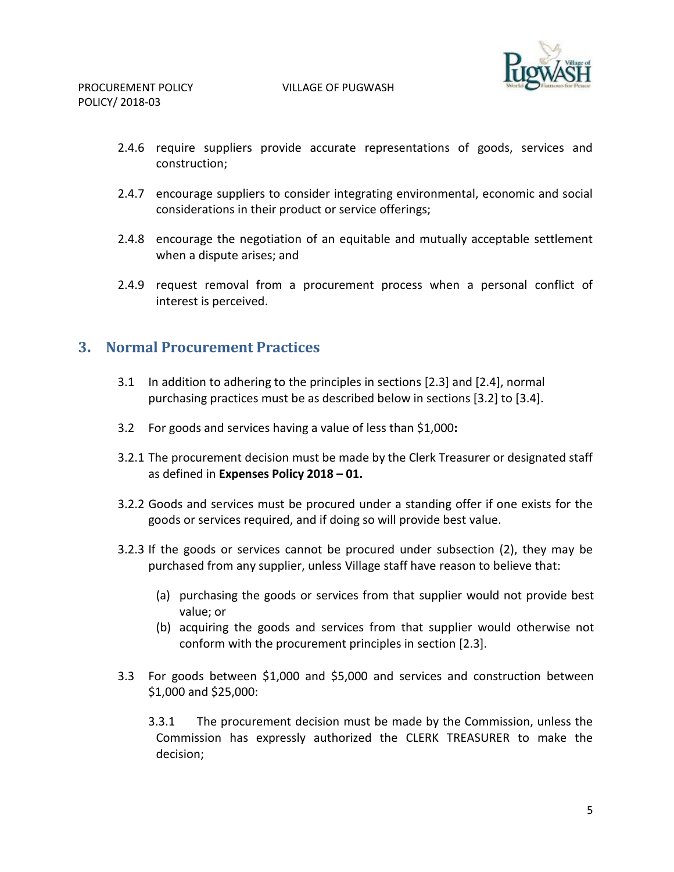

- 2.4.6 require suppliers provide accurate representations of goods, services and construction;
- 2.4.7 encourage suppliers to consider integrating environmental, economic and social considerations in their product or service offerings;
- 2.4.8 encourage the negotiation of an equitable and mutually acceptable settlement when a dispute arises; and
- 2.4.9 request removal from a procurement process when a personal conflict of interest is perceived.

## <span id="page-4-0"></span>**3. Normal Procurement Practices**

- 3.1 In addition to adhering to the principles in sections [2.3] and [2.4], normal purchasing practices must be as described below in sections [3.2] to [3.4].
- 3.2 For goods and services having a value of less than \$1,000**:**
- 3.2.1 The procurement decision must be made by the Clerk Treasurer or designated staff as defined in **Expenses Policy 2018 – 01.**
- 3.2.2 Goods and services must be procured under a standing offer if one exists for the goods or services required, and if doing so will provide best value.
- 3.2.3 If the goods or services cannot be procured under subsection (2), they may be purchased from any supplier, unless Village staff have reason to believe that:
	- (a) purchasing the goods or services from that supplier would not provide best value; or
	- (b) acquiring the goods and services from that supplier would otherwise not conform with the procurement principles in section [2.3].
- 3.3 For goods between \$1,000 and \$5,000 and services and construction between \$1,000 and \$25,000:
	- 3.3.1 The procurement decision must be made by the Commission, unless the Commission has expressly authorized the CLERK TREASURER to make the decision;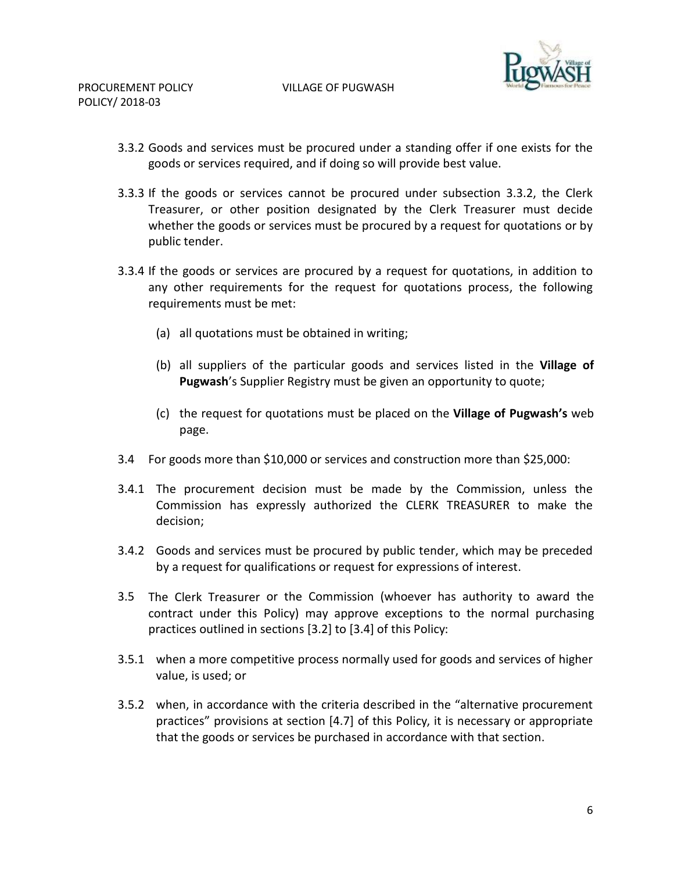

- 3.3.2 Goods and services must be procured under a standing offer if one exists for the goods or services required, and if doing so will provide best value.
- 3.3.3 If the goods or services cannot be procured under subsection 3.3.2, the Clerk Treasurer, or other position designated by the Clerk Treasurer must decide whether the goods or services must be procured by a request for quotations or by public tender.
- 3.3.4 If the goods or services are procured by a request for quotations, in addition to any other requirements for the request for quotations process, the following requirements must be met:
	- (a) all quotations must be obtained in writing;
	- (b) all suppliers of the particular goods and services listed in the **Village of Pugwash**'s Supplier Registry must be given an opportunity to quote;
	- (c) the request for quotations must be placed on the **Village of Pugwash's** web page.
- 3.4 For goods more than \$10,000 or services and construction more than \$25,000:
- 3.4.1 The procurement decision must be made by the Commission, unless the Commission has expressly authorized the CLERK TREASURER to make the decision;
- 3.4.2 Goods and services must be procured by public tender, which may be preceded by a request for qualifications or request for expressions of interest.
- 3.5 The Clerk Treasurer or the Commission (whoever has authority to award the contract under this Policy) may approve exceptions to the normal purchasing practices outlined in sections [3.2] to [3.4] of this Policy:
- 3.5.1 when a more competitive process normally used for goods and services of higher value, is used; or
- 3.5.2 when, in accordance with the criteria described in the "alternative procurement practices" provisions at section [4.7] of this Policy, it is necessary or appropriate that the goods or services be purchased in accordance with that section.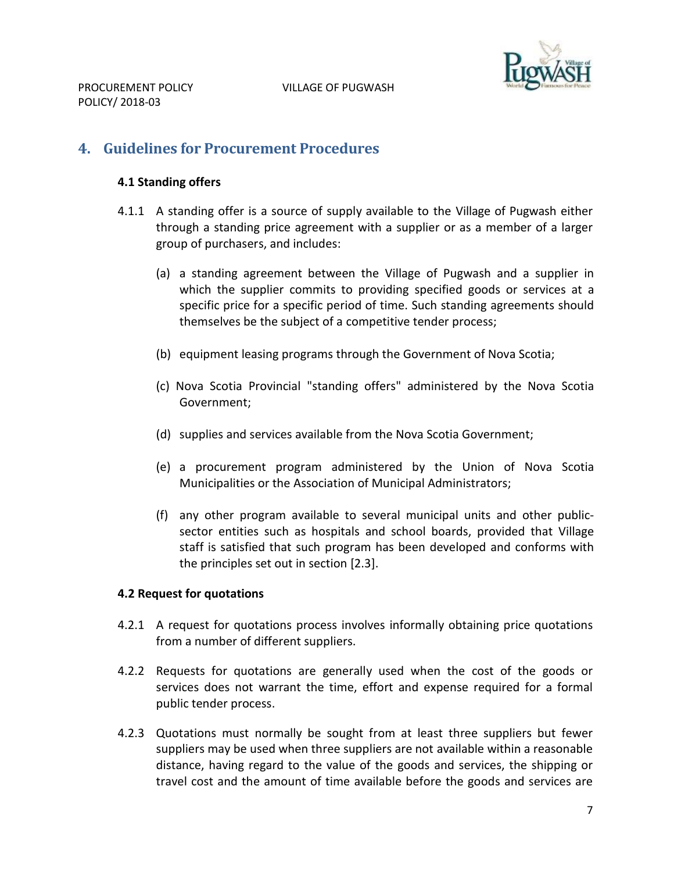

# <span id="page-6-0"></span>**4. Guidelines for Procurement Procedures**

#### **4.1 Standing offers**

- 4.1.1 A standing offer is a source of supply available to the Village of Pugwash either through a standing price agreement with a supplier or as a member of a larger group of purchasers, and includes:
	- (a) a standing agreement between the Village of Pugwash and a supplier in which the supplier commits to providing specified goods or services at a specific price for a specific period of time. Such standing agreements should themselves be the subject of a competitive tender process;
	- (b) equipment leasing programs through the Government of Nova Scotia;
	- (c) Nova Scotia Provincial "standing offers" administered by the Nova Scotia Government;
	- (d) supplies and services available from the Nova Scotia Government;
	- (e) a procurement program administered by the Union of Nova Scotia Municipalities or the Association of Municipal Administrators;
	- (f) any other program available to several municipal units and other publicsector entities such as hospitals and school boards, provided that Village staff is satisfied that such program has been developed and conforms with the principles set out in section [2.3].

#### **4.2 Request for quotations**

- 4.2.1 A request for quotations process involves informally obtaining price quotations from a number of different suppliers.
- 4.2.2 Requests for quotations are generally used when the cost of the goods or services does not warrant the time, effort and expense required for a formal public tender process.
- 4.2.3 Quotations must normally be sought from at least three suppliers but fewer suppliers may be used when three suppliers are not available within a reasonable distance, having regard to the value of the goods and services, the shipping or travel cost and the amount of time available before the goods and services are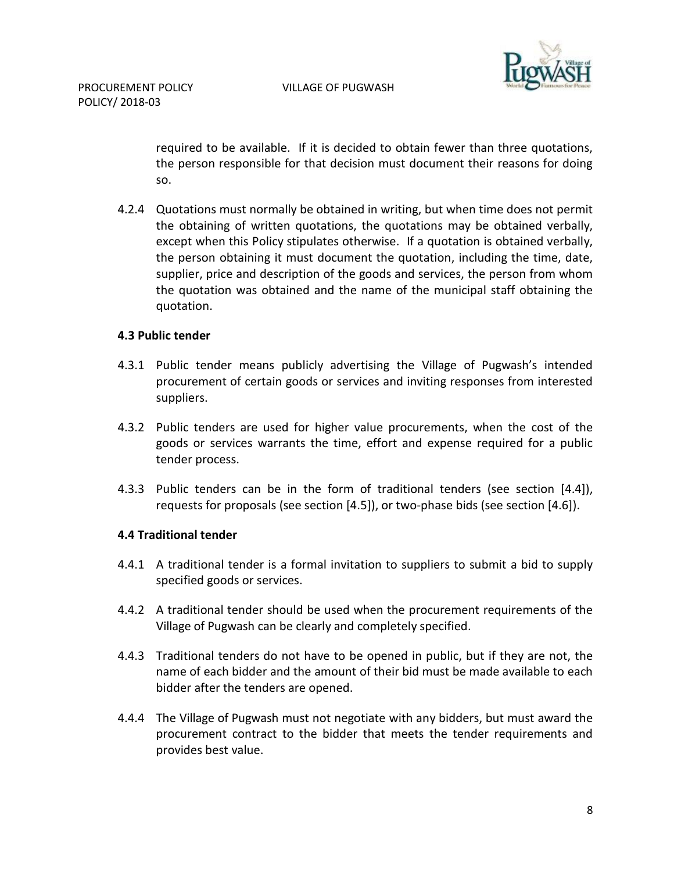

required to be available. If it is decided to obtain fewer than three quotations, the person responsible for that decision must document their reasons for doing so.

4.2.4 Quotations must normally be obtained in writing, but when time does not permit the obtaining of written quotations, the quotations may be obtained verbally, except when this Policy stipulates otherwise. If a quotation is obtained verbally, the person obtaining it must document the quotation, including the time, date, supplier, price and description of the goods and services, the person from whom the quotation was obtained and the name of the municipal staff obtaining the quotation.

#### **4.3 Public tender**

- 4.3.1 Public tender means publicly advertising the Village of Pugwash's intended procurement of certain goods or services and inviting responses from interested suppliers.
- 4.3.2 Public tenders are used for higher value procurements, when the cost of the goods or services warrants the time, effort and expense required for a public tender process.
- 4.3.3 Public tenders can be in the form of traditional tenders (see section [4.4]), requests for proposals (see section [4.5]), or two-phase bids (see section [4.6]).

#### **4.4 Traditional tender**

- 4.4.1 A traditional tender is a formal invitation to suppliers to submit a bid to supply specified goods or services.
- 4.4.2 A traditional tender should be used when the procurement requirements of the Village of Pugwash can be clearly and completely specified.
- 4.4.3 Traditional tenders do not have to be opened in public, but if they are not, the name of each bidder and the amount of their bid must be made available to each bidder after the tenders are opened.
- 4.4.4 The Village of Pugwash must not negotiate with any bidders, but must award the procurement contract to the bidder that meets the tender requirements and provides best value.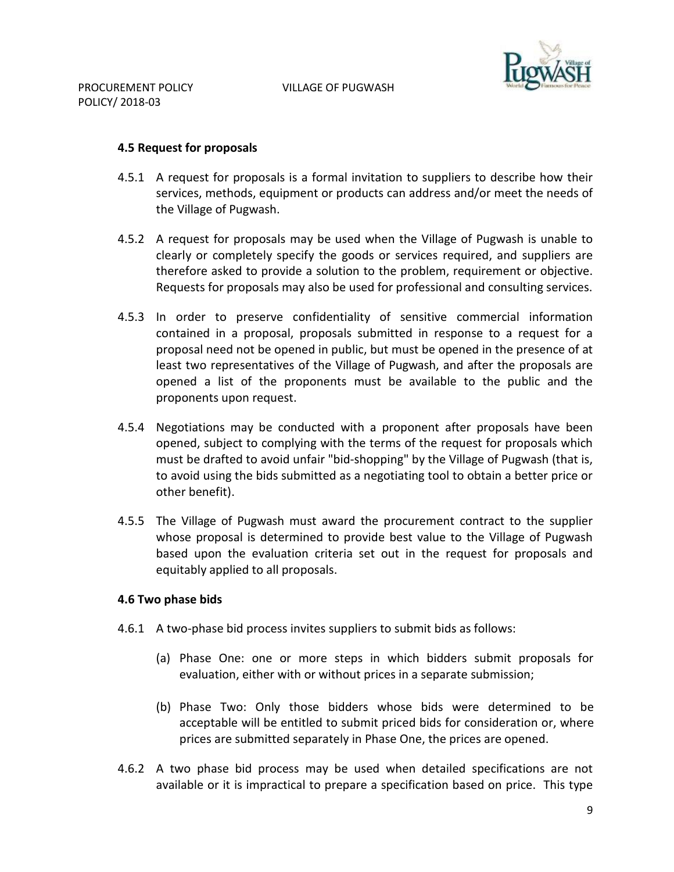

#### **4.5 Request for proposals**

- 4.5.1 A request for proposals is a formal invitation to suppliers to describe how their services, methods, equipment or products can address and/or meet the needs of the Village of Pugwash.
- 4.5.2 A request for proposals may be used when the Village of Pugwash is unable to clearly or completely specify the goods or services required, and suppliers are therefore asked to provide a solution to the problem, requirement or objective. Requests for proposals may also be used for professional and consulting services.
- 4.5.3 In order to preserve confidentiality of sensitive commercial information contained in a proposal, proposals submitted in response to a request for a proposal need not be opened in public, but must be opened in the presence of at least two representatives of the Village of Pugwash, and after the proposals are opened a list of the proponents must be available to the public and the proponents upon request.
- 4.5.4 Negotiations may be conducted with a proponent after proposals have been opened, subject to complying with the terms of the request for proposals which must be drafted to avoid unfair "bid-shopping" by the Village of Pugwash (that is, to avoid using the bids submitted as a negotiating tool to obtain a better price or other benefit).
- 4.5.5 The Village of Pugwash must award the procurement contract to the supplier whose proposal is determined to provide best value to the Village of Pugwash based upon the evaluation criteria set out in the request for proposals and equitably applied to all proposals.

## **4.6 Two phase bids**

- 4.6.1 A two-phase bid process invites suppliers to submit bids as follows:
	- (a) Phase One: one or more steps in which bidders submit proposals for evaluation, either with or without prices in a separate submission;
	- (b) Phase Two: Only those bidders whose bids were determined to be acceptable will be entitled to submit priced bids for consideration or, where prices are submitted separately in Phase One, the prices are opened.
- 4.6.2 A two phase bid process may be used when detailed specifications are not available or it is impractical to prepare a specification based on price. This type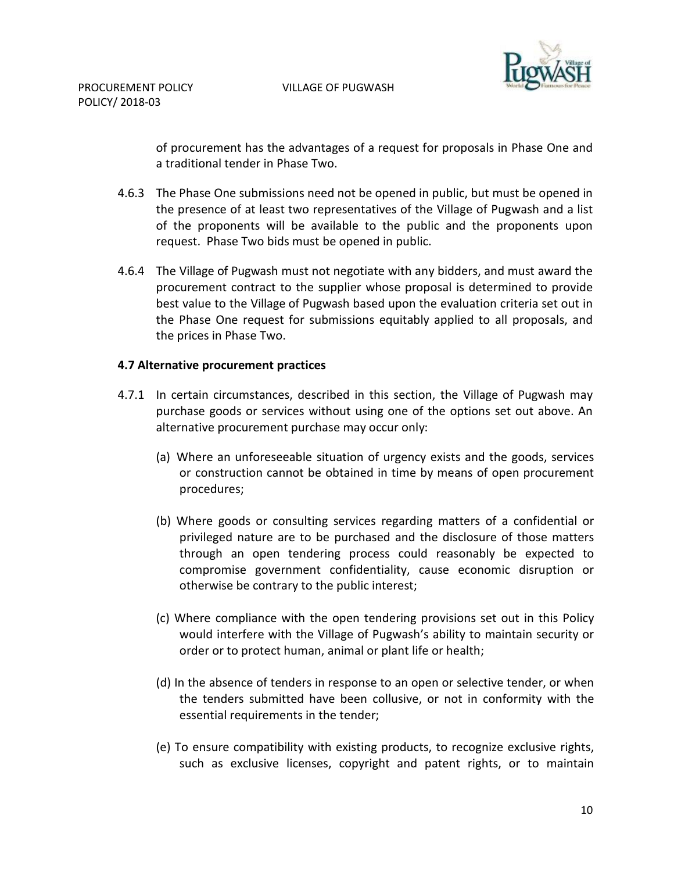

of procurement has the advantages of a request for proposals in Phase One and a traditional tender in Phase Two.

- 4.6.3 The Phase One submissions need not be opened in public, but must be opened in the presence of at least two representatives of the Village of Pugwash and a list of the proponents will be available to the public and the proponents upon request. Phase Two bids must be opened in public.
- 4.6.4 The Village of Pugwash must not negotiate with any bidders, and must award the procurement contract to the supplier whose proposal is determined to provide best value to the Village of Pugwash based upon the evaluation criteria set out in the Phase One request for submissions equitably applied to all proposals, and the prices in Phase Two.

#### **4.7 Alternative procurement practices**

- 4.7.1 In certain circumstances, described in this section, the Village of Pugwash may purchase goods or services without using one of the options set out above. An alternative procurement purchase may occur only:
	- (a) Where an unforeseeable situation of urgency exists and the goods, services or construction cannot be obtained in time by means of open procurement procedures;
	- (b) Where goods or consulting services regarding matters of a confidential or privileged nature are to be purchased and the disclosure of those matters through an open tendering process could reasonably be expected to compromise government confidentiality, cause economic disruption or otherwise be contrary to the public interest;
	- (c) Where compliance with the open tendering provisions set out in this Policy would interfere with the Village of Pugwash's ability to maintain security or order or to protect human, animal or plant life or health;
	- (d) In the absence of tenders in response to an open or selective tender, or when the tenders submitted have been collusive, or not in conformity with the essential requirements in the tender;
	- (e) To ensure compatibility with existing products, to recognize exclusive rights, such as exclusive licenses, copyright and patent rights, or to maintain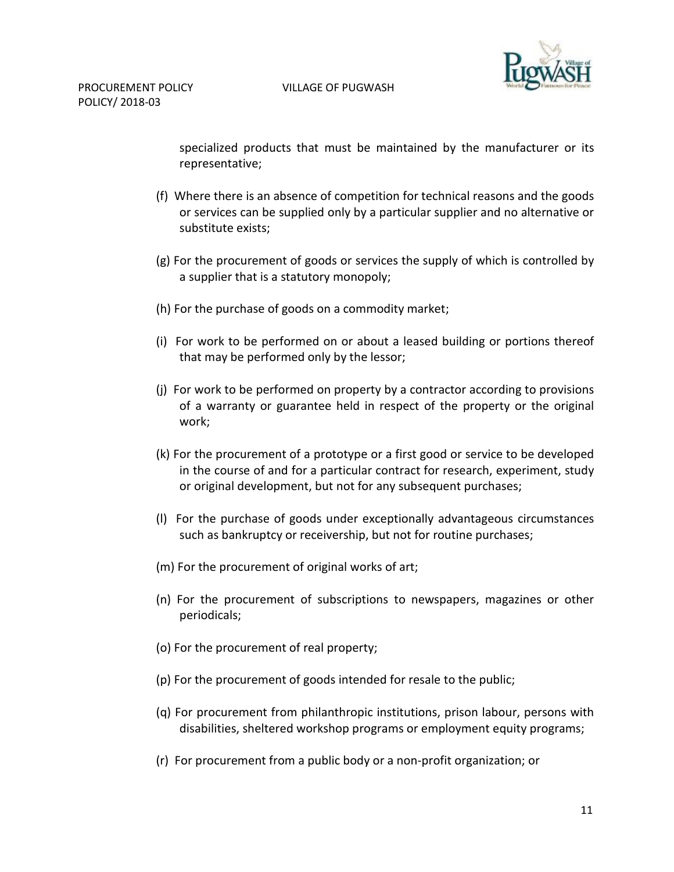

specialized products that must be maintained by the manufacturer or its representative;

- (f) Where there is an absence of competition for technical reasons and the goods or services can be supplied only by a particular supplier and no alternative or substitute exists;
- (g) For the procurement of goods or services the supply of which is controlled by a supplier that is a statutory monopoly;
- (h) For the purchase of goods on a commodity market;
- (i) For work to be performed on or about a leased building or portions thereof that may be performed only by the lessor;
- (j) For work to be performed on property by a contractor according to provisions of a warranty or guarantee held in respect of the property or the original work;
- (k) For the procurement of a prototype or a first good or service to be developed in the course of and for a particular contract for research, experiment, study or original development, but not for any subsequent purchases;
- (l) For the purchase of goods under exceptionally advantageous circumstances such as bankruptcy or receivership, but not for routine purchases;
- (m) For the procurement of original works of art;
- (n) For the procurement of subscriptions to newspapers, magazines or other periodicals;
- (o) For the procurement of real property;
- (p) For the procurement of goods intended for resale to the public;
- (q) For procurement from philanthropic institutions, prison labour, persons with disabilities, sheltered workshop programs or employment equity programs;
- (r) For procurement from a public body or a non-profit organization; or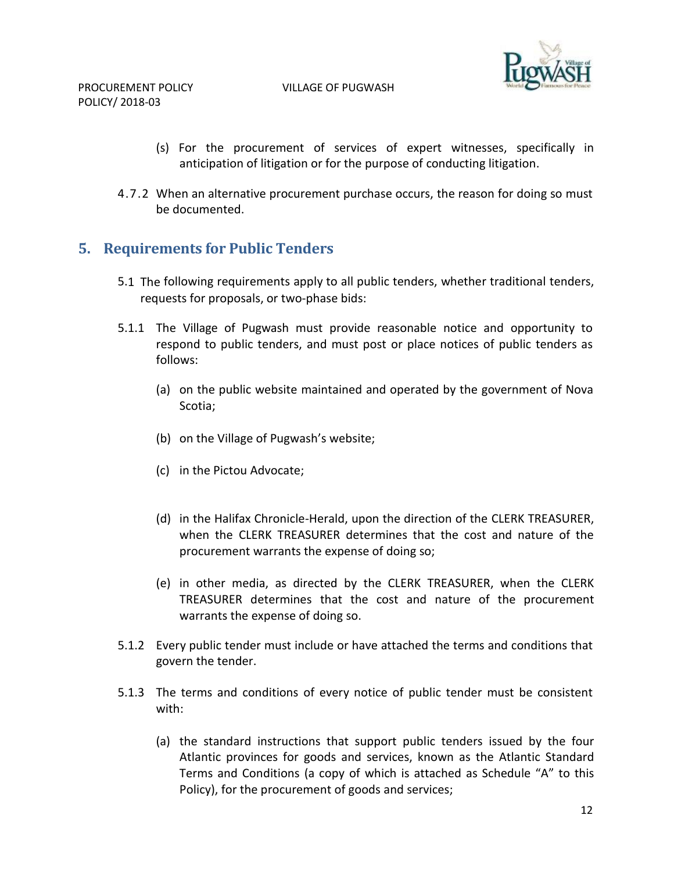PROCUREMENT POLICY VILLAGE OF PUGWASH



POLICY/ 2018-03

- (s) For the procurement of services of expert witnesses, specifically in anticipation of litigation or for the purpose of conducting litigation.
- 4.7.2 When an alternative procurement purchase occurs, the reason for doing so must be documented.

# <span id="page-11-0"></span>**5. Requirements for Public Tenders**

- 5.1 The following requirements apply to all public tenders, whether traditional tenders, requests for proposals, or two-phase bids:
- 5.1.1 The Village of Pugwash must provide reasonable notice and opportunity to respond to public tenders, and must post or place notices of public tenders as follows:
	- (a) on the public website maintained and operated by the government of Nova Scotia;
	- (b) on the Village of Pugwash's website;
	- (c) in the Pictou Advocate;
	- (d) in the Halifax Chronicle-Herald, upon the direction of the CLERK TREASURER, when the CLERK TREASURER determines that the cost and nature of the procurement warrants the expense of doing so;
	- (e) in other media, as directed by the CLERK TREASURER, when the CLERK TREASURER determines that the cost and nature of the procurement warrants the expense of doing so.
- 5.1.2 Every public tender must include or have attached the terms and conditions that govern the tender.
- 5.1.3 The terms and conditions of every notice of public tender must be consistent with:
	- (a) the standard instructions that support public tenders issued by the four Atlantic provinces for goods and services, known as the Atlantic Standard Terms and Conditions (a copy of which is attached as Schedule "A" to this Policy), for the procurement of goods and services;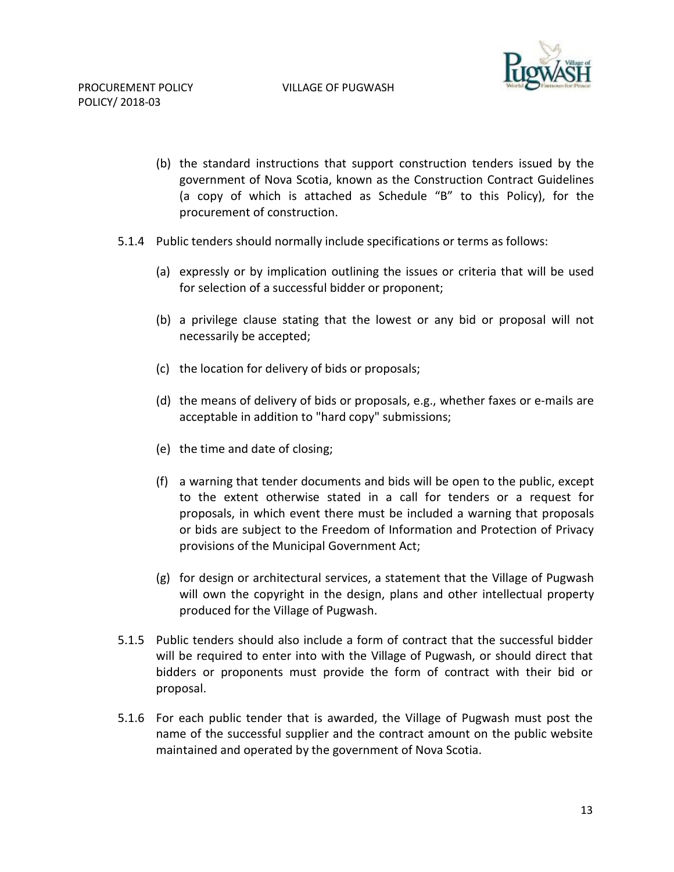

- (b) the standard instructions that support construction tenders issued by the government of Nova Scotia, known as the Construction Contract Guidelines (a copy of which is attached as Schedule "B" to this Policy), for the procurement of construction.
- 5.1.4 Public tenders should normally include specifications or terms as follows:
	- (a) expressly or by implication outlining the issues or criteria that will be used for selection of a successful bidder or proponent;
	- (b) a privilege clause stating that the lowest or any bid or proposal will not necessarily be accepted;
	- (c) the location for delivery of bids or proposals;
	- (d) the means of delivery of bids or proposals, e.g., whether faxes or e-mails are acceptable in addition to "hard copy" submissions;
	- (e) the time and date of closing;
	- (f) a warning that tender documents and bids will be open to the public, except to the extent otherwise stated in a call for tenders or a request for proposals, in which event there must be included a warning that proposals or bids are subject to the Freedom of Information and Protection of Privacy provisions of the Municipal Government Act;
	- (g) for design or architectural services, a statement that the Village of Pugwash will own the copyright in the design, plans and other intellectual property produced for the Village of Pugwash.
- 5.1.5 Public tenders should also include a form of contract that the successful bidder will be required to enter into with the Village of Pugwash, or should direct that bidders or proponents must provide the form of contract with their bid or proposal.
- 5.1.6 For each public tender that is awarded, the Village of Pugwash must post the name of the successful supplier and the contract amount on the public website maintained and operated by the government of Nova Scotia.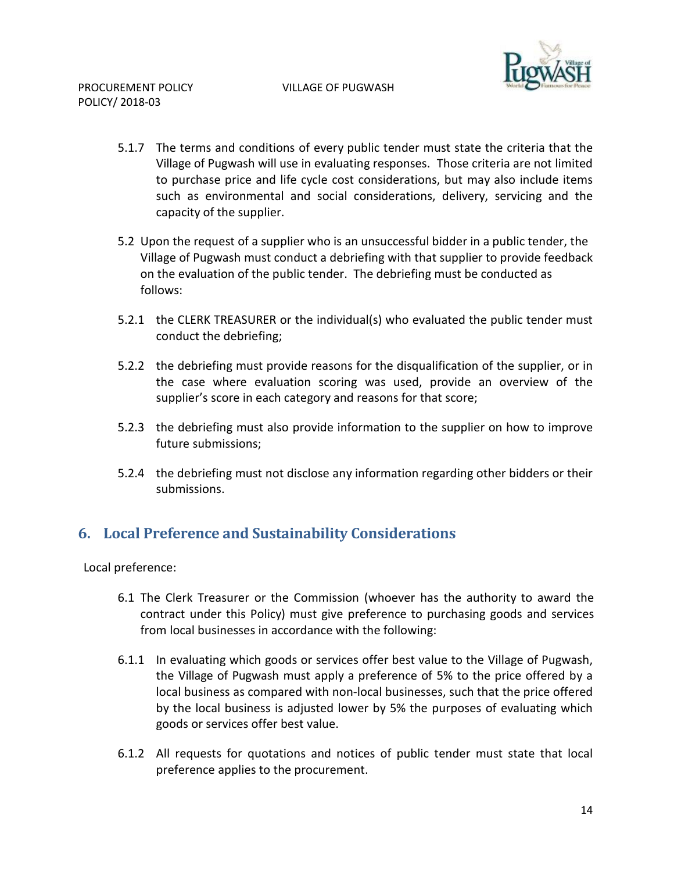

- 5.1.7 The terms and conditions of every public tender must state the criteria that the Village of Pugwash will use in evaluating responses. Those criteria are not limited to purchase price and life cycle cost considerations, but may also include items such as environmental and social considerations, delivery, servicing and the capacity of the supplier.
- 5.2 Upon the request of a supplier who is an unsuccessful bidder in a public tender, the Village of Pugwash must conduct a debriefing with that supplier to provide feedback on the evaluation of the public tender. The debriefing must be conducted as follows:
- 5.2.1 the CLERK TREASURER or the individual(s) who evaluated the public tender must conduct the debriefing;
- 5.2.2 the debriefing must provide reasons for the disqualification of the supplier, or in the case where evaluation scoring was used, provide an overview of the supplier's score in each category and reasons for that score;
- 5.2.3 the debriefing must also provide information to the supplier on how to improve future submissions;
- 5.2.4 the debriefing must not disclose any information regarding other bidders or their submissions.

# <span id="page-13-0"></span>**6. Local Preference and Sustainability Considerations**

Local preference:

- 6.1 The Clerk Treasurer or the Commission (whoever has the authority to award the contract under this Policy) must give preference to purchasing goods and services from local businesses in accordance with the following:
- 6.1.1 In evaluating which goods or services offer best value to the Village of Pugwash, the Village of Pugwash must apply a preference of 5% to the price offered by a local business as compared with non-local businesses, such that the price offered by the local business is adjusted lower by 5% the purposes of evaluating which goods or services offer best value.
- 6.1.2 All requests for quotations and notices of public tender must state that local preference applies to the procurement.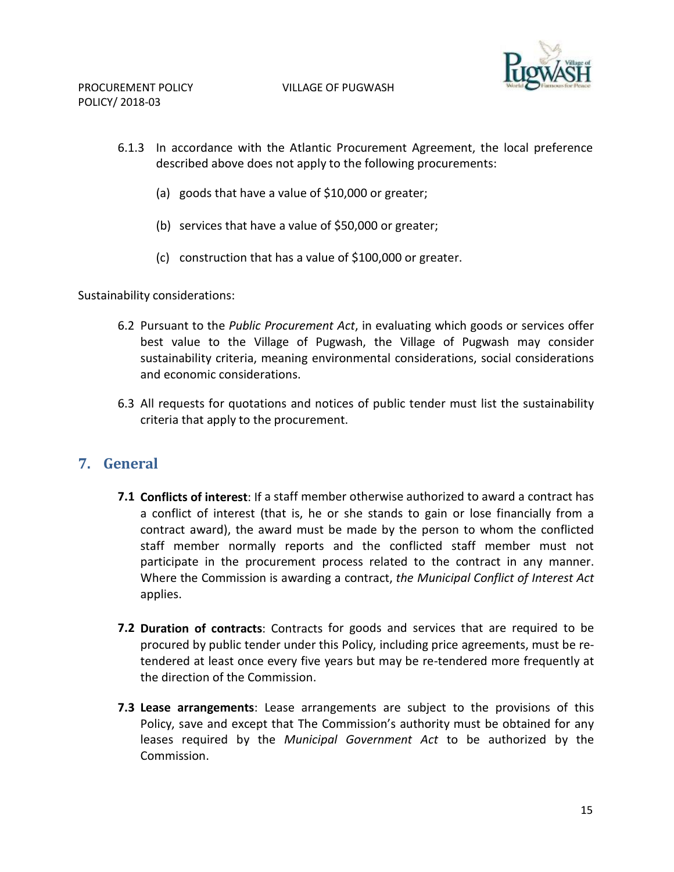

- 6.1.3 In accordance with the Atlantic Procurement Agreement, the local preference described above does not apply to the following procurements:
	- (a) goods that have a value of \$10,000 or greater;
	- (b) services that have a value of \$50,000 or greater;
	- (c) construction that has a value of \$100,000 or greater.

Sustainability considerations:

- 6.2 Pursuant to the *Public Procurement Act*, in evaluating which goods or services offer best value to the Village of Pugwash, the Village of Pugwash may consider sustainability criteria, meaning environmental considerations, social considerations and economic considerations.
- 6.3 All requests for quotations and notices of public tender must list the sustainability criteria that apply to the procurement.

## <span id="page-14-0"></span>**7. General**

- **7.1 Conflicts of interest**: If a staff member otherwise authorized to award a contract has a conflict of interest (that is, he or she stands to gain or lose financially from a contract award), the award must be made by the person to whom the conflicted staff member normally reports and the conflicted staff member must not participate in the procurement process related to the contract in any manner. Where the Commission is awarding a contract, *the Municipal Conflict of Interest Act*  applies.
- **7.2 Duration of contracts**: Contracts for goods and services that are required to be procured by public tender under this Policy, including price agreements, must be retendered at least once every five years but may be re-tendered more frequently at the direction of the Commission.
- **7.3 Lease arrangements**: Lease arrangements are subject to the provisions of this Policy, save and except that The Commission's authority must be obtained for any leases required by the *Municipal Government Act* to be authorized by the Commission.